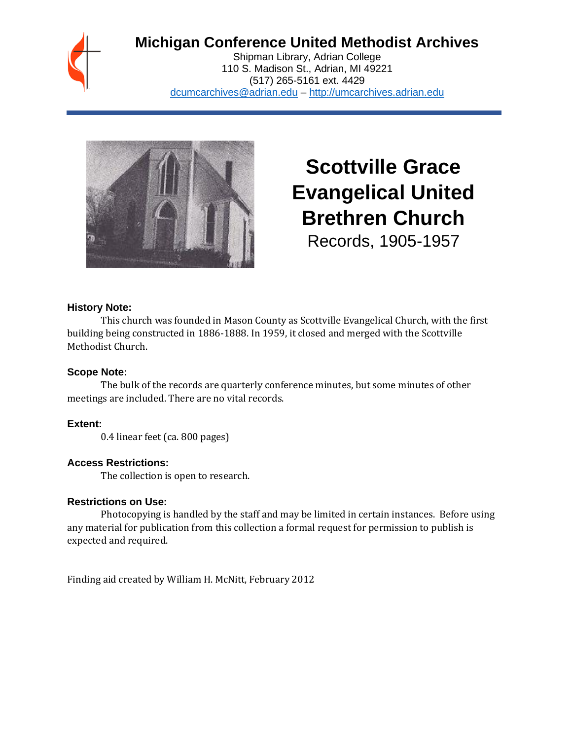## **Michigan Conference United Methodist Archives**

Shipman Library, Adrian College 110 S. Madison St., Adrian, MI 49221 (517) 265-5161 ext. 4429 [dcumcarchives@adrian.edu](mailto:dcumcarchives@adrian.edu) – [http://umcarchives.adrian.edu](http://umcarchives.adrian.edu/)



# **Scottville Grace Evangelical United Brethren Church** Records, 1905-1957

#### **History Note:**

This church was founded in Mason County as Scottville Evangelical Church, with the first building being constructed in 1886-1888. In 1959, it closed and merged with the Scottville Methodist Church.

#### **Scope Note:**

The bulk of the records are quarterly conference minutes, but some minutes of other meetings are included. There are no vital records.

### **Extent:**

0.4 linear feet (ca. 800 pages)

### **Access Restrictions:**

The collection is open to research.

#### **Restrictions on Use:**

Photocopying is handled by the staff and may be limited in certain instances. Before using any material for publication from this collection a formal request for permission to publish is expected and required.

Finding aid created by William H. McNitt, February 2012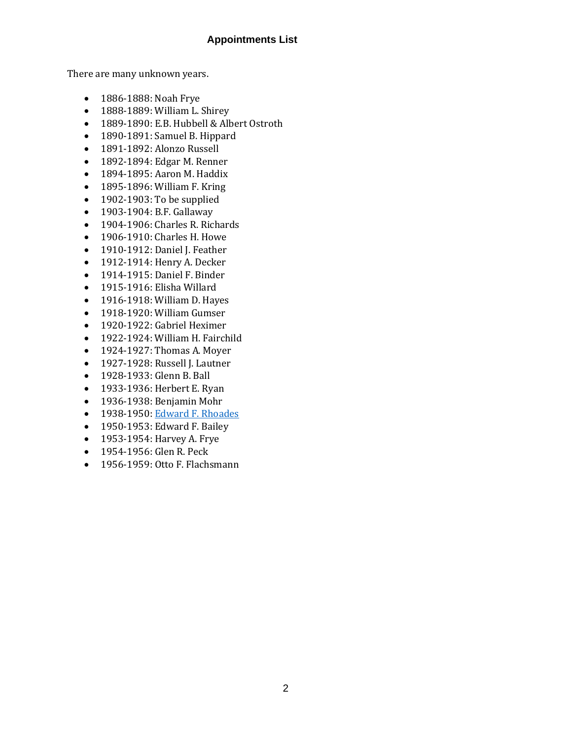#### **Appointments List**

There are many unknown years.

- 1886-1888: Noah Frye
- 1888-1889: William L. Shirey
- 1889-1890: E.B. Hubbell & Albert Ostroth
- 1890-1891: Samuel B. Hippard
- 1891-1892: Alonzo Russell
- 1892-1894: Edgar M. Renner
- 1894-1895: Aaron M. Haddix
- 1895-1896: William F. Kring
- 1902-1903: To be supplied
- 1903-1904: B.F. Gallaway
- 1904-1906: Charles R. Richards
- 1906-1910: Charles H. Howe
- 1910-1912: Daniel J. Feather
- 1912-1914: Henry A. Decker
- 1914-1915: Daniel F. Binder
- 1915-1916: Elisha Willard
- 1916-1918: William D. Hayes
- 1918-1920: William Gumser
- 1920-1922: Gabriel Heximer
- 1922-1924: William H. Fairchild
- 1924-1927: Thomas A. Moyer
- 1927-1928: Russell J. Lautner
- 1928-1933: Glenn B. Ball
- 1933-1936: Herbert E. Ryan
- 1936-1938: Benjamin Mohr
- 1938-1950[: Edward F. Rhoades](http://umcarchives.adrian.edu/clergy/rhoadesef.php)
- 1950-1953: Edward F. Bailey
- 1953-1954: Harvey A. Frye
- 1954-1956: Glen R. Peck
- 1956-1959: Otto F. Flachsmann